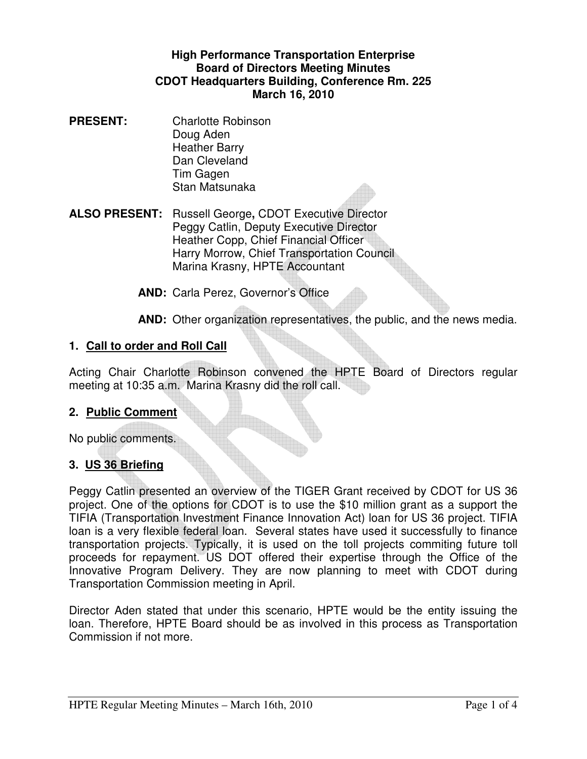#### **High Performance Transportation Enterprise Board of Directors Meeting Minutes CDOT Headquarters Building, Conference Rm. 225 March 16, 2010**

**PRESENT:** Charlotte Robinson Doug Aden Heather Barry Dan Cleveland Tim Gagen Stan Matsunaka

**ALSO PRESENT:** Russell George**,** CDOT Executive Director Peggy Catlin, Deputy Executive Director Heather Copp, Chief Financial Officer Harry Morrow, Chief Transportation Council Marina Krasny, HPTE Accountant

**AND:** Carla Perez, Governor's Office

**AND:** Other organization representatives, the public, and the news media.

#### **1. Call to order and Roll Call**

Acting Chair Charlotte Robinson convened the HPTE Board of Directors regular meeting at 10:35 a.m. Marina Krasny did the roll call.

#### **2. Public Comment**

No public comments.

#### **3. US 36 Briefing**

Peggy Catlin presented an overview of the TIGER Grant received by CDOT for US 36 project. One of the options for CDOT is to use the \$10 million grant as a support the TIFIA (Transportation Investment Finance Innovation Act) loan for US 36 project. TIFIA loan is a very flexible federal loan. Several states have used it successfully to finance transportation projects. Typically, it is used on the toll projects commiting future toll proceeds for repayment. US DOT offered their expertise through the Office of the Innovative Program Delivery. They are now planning to meet with CDOT during Transportation Commission meeting in April.

Director Aden stated that under this scenario, HPTE would be the entity issuing the loan. Therefore, HPTE Board should be as involved in this process as Transportation Commission if not more.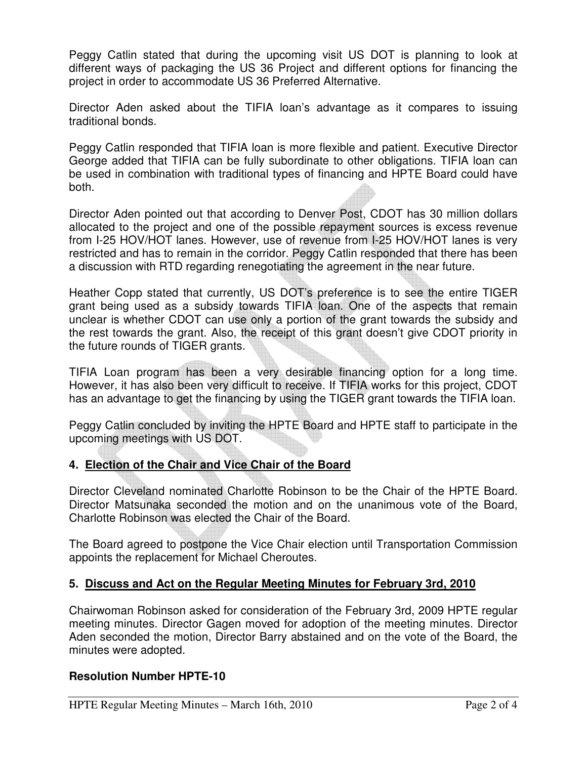Peggy Catlin stated that during the upcoming visit US DOT is planning to look at different ways of packaging the US 36 Project and different options for financing the project in order to accommodate US 36 Preferred Alternative.

Director Aden asked about the TIFIA loan's advantage as it compares to issuing traditional bonds.

Peggy Catlin responded that TIFIA loan is more flexible and patient. Executive Director George added that TIFIA can be fully subordinate to other obligations. TIFIA loan can be used in combination with traditional types of financing and HPTE Board could have both.

Director Aden pointed out that according to Denver Post, CDOT has 30 million dollars allocated to the project and one of the possible repayment sources is excess revenue from I-25 HOV/HOT lanes. However, use of revenue from I-25 HOV/HOT lanes is very restricted and has to remain in the corridor. Peggy Catlin responded that there has been a discussion with RTD regarding renegotiating the agreement in the near future.

Heather Copp stated that currently, US DOT's preference is to see the entire TIGER grant being used as a subsidy towards TIFIA loan. One of the aspects that remain unclear is whether CDOT can use only a portion of the grant towards the subsidy and the rest towards the grant. Also, the receipt of this grant doesn't give CDOT priority in the future rounds of TIGER grants.

TIFIA Loan program has been a very desirable financing option for a long time. However, it has also been very difficult to receive. If TIFIA works for this project, CDOT has an advantage to get the financing by using the TIGER grant towards the TIFIA loan.

Peggy Catlin concluded by inviting the HPTE Board and HPTE staff to participate in the upcoming meetings with US DOT.

# **4. Election of the Chair and Vice Chair of the Board**

Director Cleveland nominated Charlotte Robinson to be the Chair of the HPTE Board. Director Matsunaka seconded the motion and on the unanimous vote of the Board, Charlotte Robinson was elected the Chair of the Board.

The Board agreed to postpone the Vice Chair election until Transportation Commission appoints the replacement for Michael Cheroutes.

### **5. Discuss and Act on the Regular Meeting Minutes for February 3rd, 2010**

Chairwoman Robinson asked for consideration of the February 3rd, 2009 HPTE regular meeting minutes. Director Gagen moved for adoption of the meeting minutes. Director Aden seconded the motion, Director Barry abstained and on the vote of the Board, the minutes were adopted.

### **Resolution Number HPTE-10**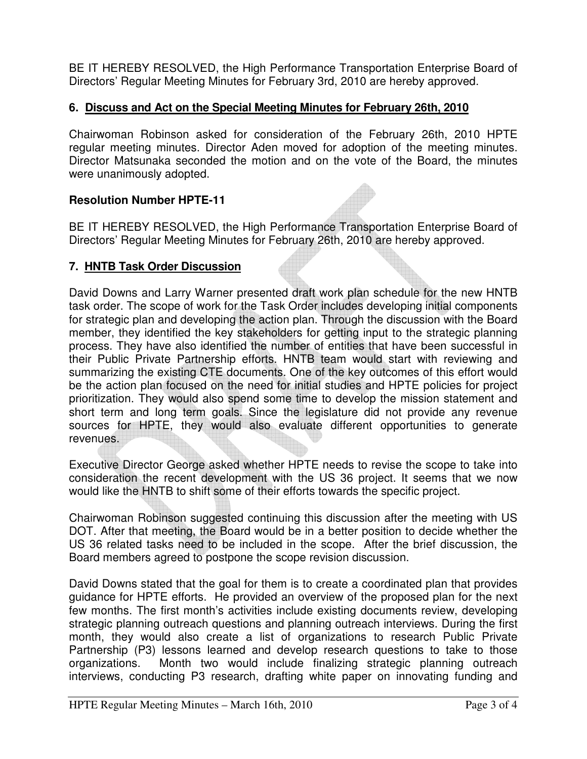BE IT HEREBY RESOLVED, the High Performance Transportation Enterprise Board of Directors' Regular Meeting Minutes for February 3rd, 2010 are hereby approved.

## **6. Discuss and Act on the Special Meeting Minutes for February 26th, 2010**

Chairwoman Robinson asked for consideration of the February 26th, 2010 HPTE regular meeting minutes. Director Aden moved for adoption of the meeting minutes. Director Matsunaka seconded the motion and on the vote of the Board, the minutes were unanimously adopted.

### **Resolution Number HPTE-11**

BE IT HEREBY RESOLVED, the High Performance Transportation Enterprise Board of Directors' Regular Meeting Minutes for February 26th, 2010 are hereby approved.

### **7. HNTB Task Order Discussion**

David Downs and Larry Warner presented draft work plan schedule for the new HNTB task order. The scope of work for the Task Order includes developing initial components for strategic plan and developing the action plan. Through the discussion with the Board member, they identified the key stakeholders for getting input to the strategic planning process. They have also identified the number of entities that have been successful in their Public Private Partnership efforts. HNTB team would start with reviewing and summarizing the existing CTE documents. One of the key outcomes of this effort would be the action plan focused on the need for initial studies and HPTE policies for project prioritization. They would also spend some time to develop the mission statement and short term and long term goals. Since the legislature did not provide any revenue sources for HPTE, they would also evaluate different opportunities to generate revenues.

Executive Director George asked whether HPTE needs to revise the scope to take into consideration the recent development with the US 36 project. It seems that we now would like the HNTB to shift some of their efforts towards the specific project.

Chairwoman Robinson suggested continuing this discussion after the meeting with US DOT. After that meeting, the Board would be in a better position to decide whether the US 36 related tasks need to be included in the scope. After the brief discussion, the Board members agreed to postpone the scope revision discussion.

David Downs stated that the goal for them is to create a coordinated plan that provides guidance for HPTE efforts. He provided an overview of the proposed plan for the next few months. The first month's activities include existing documents review, developing strategic planning outreach questions and planning outreach interviews. During the first month, they would also create a list of organizations to research Public Private Partnership (P3) lessons learned and develop research questions to take to those organizations. Month two would include finalizing strategic planning outreach interviews, conducting P3 research, drafting white paper on innovating funding and